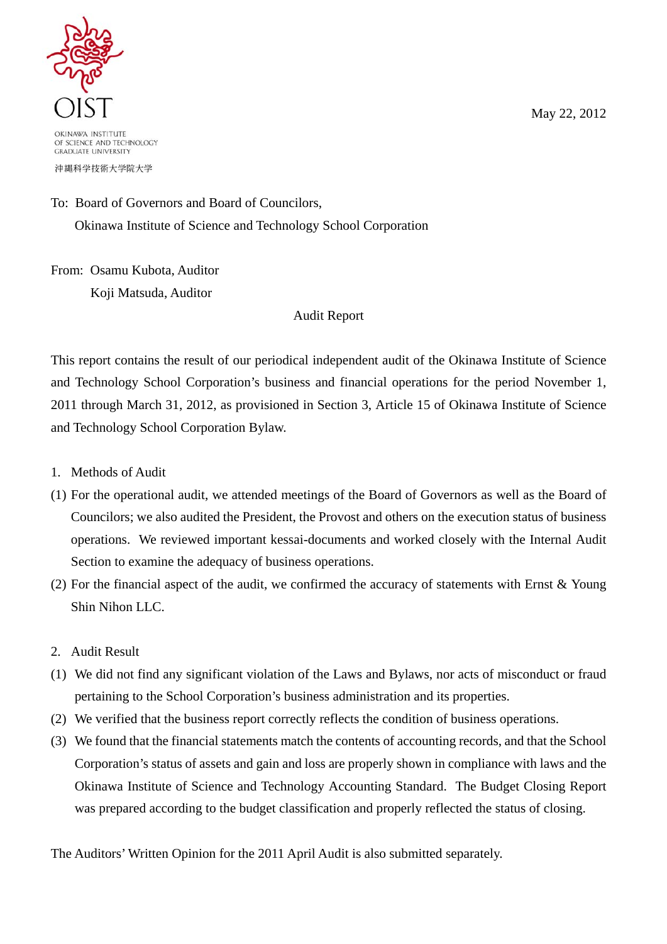OKINAWA INSTITUTE

OF SCIENCE AND TECHNOLOGY **GRADUATE UNIVERSITY** 

沖縄科学技術大学院大学

## To: Board of Governors and Board of Councilors,

Okinawa Institute of Science and Technology School Corporation

From: Osamu Kubota, Auditor Koji Matsuda, Auditor

## Audit Report

This report contains the result of our periodical independent audit of the Okinawa Institute of Science and Technology School Corporation's business and financial operations for the period November 1, 2011 through March 31, 2012, as provisioned in Section 3, Article 15 of Okinawa Institute of Science and Technology School Corporation Bylaw.

- 1. Methods of Audit
- (1) For the operational audit, we attended meetings of the Board of Governors as well as the Board of Councilors; we also audited the President, the Provost and others on the execution status of business operations. We reviewed important kessai-documents and worked closely with the Internal Audit Section to examine the adequacy of business operations.
- (2) For the financial aspect of the audit, we confirmed the accuracy of statements with Ernst & Young Shin Nihon LLC.
- 2. Audit Result
- (1) We did not find any significant violation of the Laws and Bylaws, nor acts of misconduct or fraud pertaining to the School Corporation's business administration and its properties.
- (2) We verified that the business report correctly reflects the condition of business operations.
- (3) We found that the financial statements match the contents of accounting records, and that the School Corporation's status of assets and gain and loss are properly shown in compliance with laws and the Okinawa Institute of Science and Technology Accounting Standard. The Budget Closing Report was prepared according to the budget classification and properly reflected the status of closing.

The Auditors' Written Opinion for the 2011 April Audit is also submitted separately.

May 22, 2012